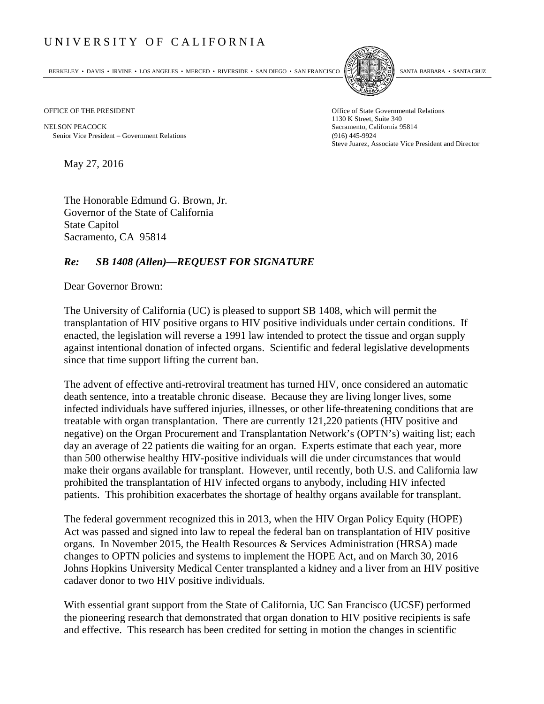## UNIVERSITY OF CALIFORNIA

BERKELEY • DAVIS • IRVINE • LOS ANGELES • MERCED • RIVERSIDE • SAN DIEGO • SAN FRANCISCO SANTA BARBARA • SANTA CRUZ



OFFICE OF THE PRESIDENT STATES OF THE PRESIDENT

NELSON PEACOCK Sacramento, California 95814 Senior Vice President Government Relations (916) 445-9924

1130 K Street, Suite 340 Steve Juarez, Associate Vice President and Director

May 27, 2016

The Honorable Edmund G. Brown, Jr. Governor of the State of California State Capitol Sacramento, CA 95814

## *Re: SB 1408 (Allen)—REQUEST FOR SIGNATURE*

Dear Governor Brown:

The University of California (UC) is pleased to support SB 1408, which will permit the transplantation of HIV positive organs to HIV positive individuals under certain conditions. If enacted, the legislation will reverse a 1991 law intended to protect the tissue and organ supply against intentional donation of infected organs. Scientific and federal legislative developments since that time support lifting the current ban.

The advent of effective anti-retroviral treatment has turned HIV, once considered an automatic death sentence, into a treatable chronic disease. Because they are living longer lives, some infected individuals have suffered injuries, illnesses, or other life-threatening conditions that are treatable with organ transplantation. There are currently 121,220 patients (HIV positive and negative) on the Organ Procurement and Transplantation Network's (OPTN's) waiting list; each day an average of 22 patients die waiting for an organ. Experts estimate that each year, more than 500 otherwise healthy HIV-positive individuals will die under circumstances that would make their organs available for transplant. However, until recently, both U.S. and California law prohibited the transplantation of HIV infected organs to anybody, including HIV infected patients. This prohibition exacerbates the shortage of healthy organs available for transplant.

The federal government recognized this in 2013, when the HIV Organ Policy Equity (HOPE) Act was passed and signed into law to repeal the federal ban on transplantation of HIV positive organs. In November 2015, the Health Resources & Services Administration (HRSA) made changes to OPTN policies and systems to implement the HOPE Act, and on March 30, 2016 Johns Hopkins University Medical Center transplanted a kidney and a liver from an HIV positive cadaver donor to two HIV positive individuals.

With essential grant support from the State of California, UC San Francisco (UCSF) performed the pioneering research that demonstrated that organ donation to HIV positive recipients is safe and effective. This research has been credited for setting in motion the changes in scientific